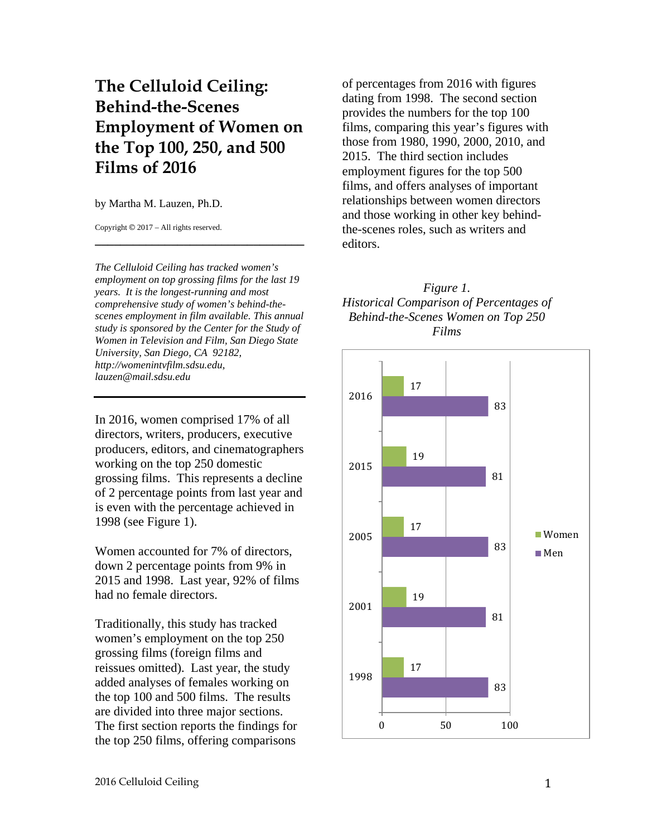# **The Celluloid Ceiling: Behind-the-Scenes Employment of Women on the Top 100, 250, and 500 Films of 2016**

by Martha M. Lauzen, Ph.D.

Copyright © 2017 – All rights reserved.

*The Celluloid Ceiling has tracked women's employment on top grossing films for the last 19 years. It is the longest-running and most comprehensive study of women's behind-thescenes employment in film available. This annual study is sponsored by the Center for the Study of Women in Television and Film, San Diego State University, San Diego, CA 92182, http://womenintvfilm.sdsu.edu, lauzen@mail.sdsu.edu*

**\_\_\_\_\_\_\_\_\_\_\_\_\_\_\_\_\_\_\_\_\_\_\_\_\_\_\_\_\_\_\_\_\_**

In 2016, women comprised 17% of all directors, writers, producers, executive producers, editors, and cinematographers working on the top 250 domestic grossing films. This represents a decline of 2 percentage points from last year and is even with the percentage achieved in 1998 (see Figure 1).

Women accounted for 7% of directors, down 2 percentage points from 9% in 2015 and 1998. Last year, 92% of films had no female directors.

Traditionally, this study has tracked women's employment on the top 250 grossing films (foreign films and reissues omitted). Last year, the study added analyses of females working on the top 100 and 500 films. The results are divided into three major sections. The first section reports the findings for the top 250 films, offering comparisons

of percentages from 2016 with figures dating from 1998. The second section provides the numbers for the top 100 films, comparing this year's figures with those from 1980, 1990, 2000, 2010, and 2015. The third section includes employment figures for the top 500 films, and offers analyses of important relationships between women directors and those working in other key behindthe-scenes roles, such as writers and editors.



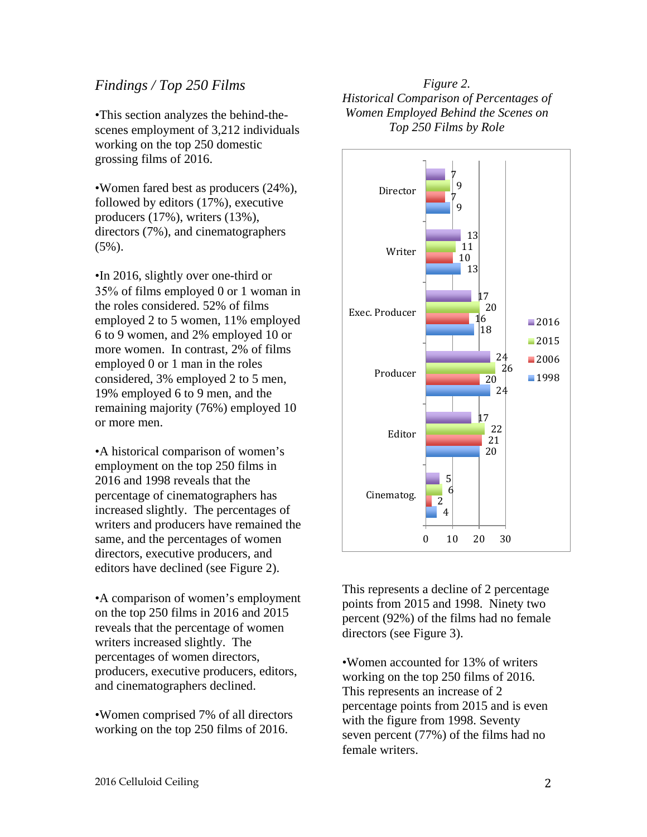# *Findings / Top 250 Films*

•This section analyzes the behind-thescenes employment of 3,212 individuals working on the top 250 domestic grossing films of 2016.

•Women fared best as producers (24%), followed by editors (17%), executive producers (17%), writers (13%), directors (7%), and cinematographers  $(5\%)$ .

•In 2016, slightly over one-third or 35% of films employed 0 or 1 woman in the roles considered. 52% of films employed 2 to 5 women, 11% employed 6 to 9 women, and 2% employed 10 or more women. In contrast, 2% of films employed 0 or 1 man in the roles considered, 3% employed 2 to 5 men, 19% employed 6 to 9 men, and the remaining majority (76%) employed 10 or more men.

•A historical comparison of women's employment on the top 250 films in 2016 and 1998 reveals that the percentage of cinematographers has increased slightly. The percentages of writers and producers have remained the same, and the percentages of women directors, executive producers, and editors have declined (see Figure 2).

•A comparison of women's employment on the top 250 films in 2016 and 2015 reveals that the percentage of women writers increased slightly. The percentages of women directors, producers, executive producers, editors, and cinematographers declined.

•Women comprised 7% of all directors working on the top 250 films of 2016.

# *Figure 2. Historical Comparison of Percentages of Women Employed Behind the Scenes on Top 250 Films by Role*



This represents a decline of 2 percentage points from 2015 and 1998. Ninety two percent (92%) of the films had no female directors (see Figure 3).

•Women accounted for 13% of writers working on the top 250 films of 2016. This represents an increase of 2 percentage points from 2015 and is even with the figure from 1998. Seventy seven percent (77%) of the films had no female writers.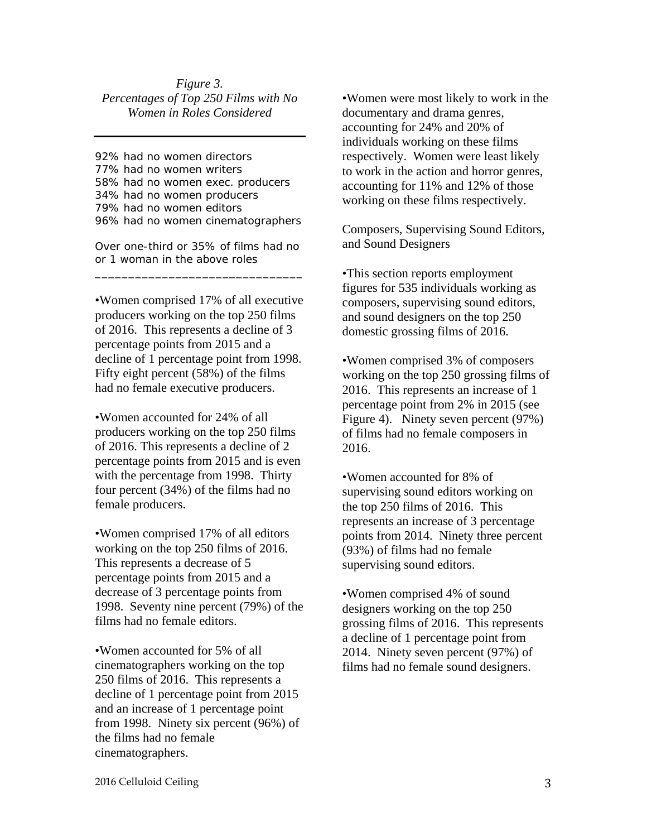#### *Figure 3. Percentages of Top 250 Films with No Women in Roles Considered*

92% had no women directors 77% had no women writers 58% had no women exec. producers 34% had no women producers 79% had no women editors 96% had no women cinematographers

Over one-third or 35% of films had no or 1 woman in the above roles \_\_\_\_\_\_\_\_\_\_\_\_\_\_\_\_\_\_\_\_\_\_\_\_\_\_\_\_\_\_\_

•Women comprised 17% of all executive producers working on the top 250 films of 2016. This represents a decline of 3 percentage points from 2015 and a decline of 1 percentage point from 1998. Fifty eight percent (58%) of the films had no female executive producers.

•Women accounted for 24% of all producers working on the top 250 films of 2016. This represents a decline of 2 percentage points from 2015 and is even with the percentage from 1998. Thirty four percent (34%) of the films had no female producers.

•Women comprised 17% of all editors working on the top 250 films of 2016. This represents a decrease of 5 percentage points from 2015 and a decrease of 3 percentage points from 1998. Seventy nine percent (79%) of the films had no female editors.

•Women accounted for 5% of all cinematographers working on the top 250 films of 2016. This represents a decline of 1 percentage point from 2015 and an increase of 1 percentage point from 1998. Ninety six percent (96%) of the films had no female cinematographers.

•Women were most likely to work in the documentary and drama genres, accounting for 24% and 20% of individuals working on these films respectively. Women were least likely to work in the action and horror genres, accounting for 11% and 12% of those working on these films respectively.

Composers, Supervising Sound Editors, and Sound Designers

•This section reports employment figures for 535 individuals working as composers, supervising sound editors, and sound designers on the top 250 domestic grossing films of 2016.

•Women comprised 3% of composers working on the top 250 grossing films of 2016. This represents an increase of 1 percentage point from 2% in 2015 (see Figure 4). Ninety seven percent (97%) of films had no female composers in 2016.

•Women accounted for 8% of supervising sound editors working on the top 250 films of 2016. This represents an increase of 3 percentage points from 2014. Ninety three percent (93%) of films had no female supervising sound editors.

•Women comprised 4% of sound designers working on the top 250 grossing films of 2016. This represents a decline of 1 percentage point from 2014. Ninety seven percent (97%) of films had no female sound designers.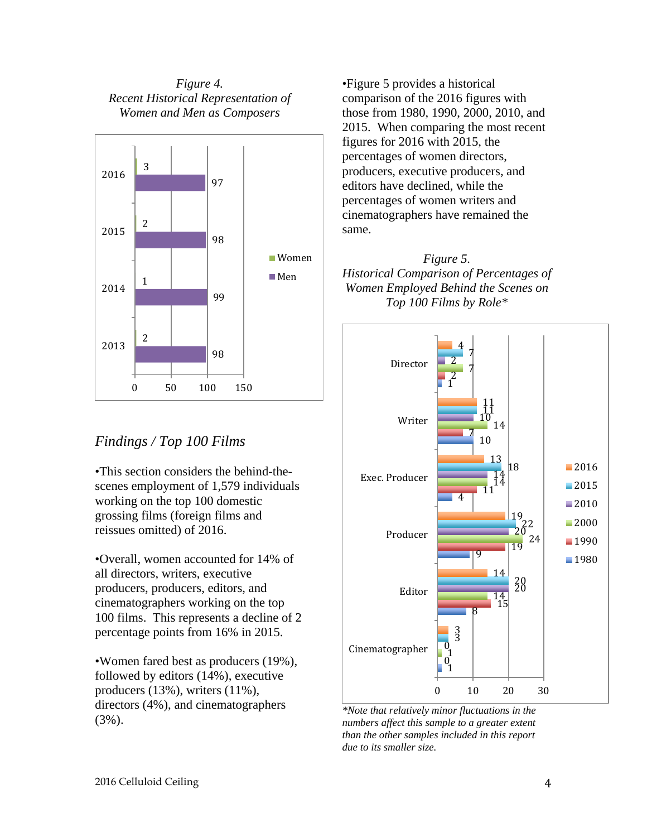*Figure 4. Recent Historical Representation of Women and Men as Composers*



# *Findings / Top 100 Films*

•This section considers the behind-thescenes employment of 1,579 individuals working on the top 100 domestic grossing films (foreign films and reissues omitted) of 2016.

•Overall, women accounted for 14% of all directors, writers, executive producers, producers, editors, and cinematographers working on the top 100 films. This represents a decline of 2 percentage points from 16% in 2015.

•Women fared best as producers (19%), followed by editors (14%), executive producers (13%), writers (11%), directors (4%), and cinematographers (3%).

•Figure 5 provides a historical comparison of the 2016 figures with those from 1980, 1990, 2000, 2010, and 2015. When comparing the most recent figures for 2016 with 2015, the percentages of women directors, producers, executive producers, and editors have declined, while the percentages of women writers and cinematographers have remained the same.

# *Figure 5. Historical Comparison of Percentages of Women Employed Behind the Scenes on Top 100 Films by Role\**



*\*Note that relatively minor fluctuations in the numbers affect this sample to a greater extent than the other samples included in this report due to its smaller size.*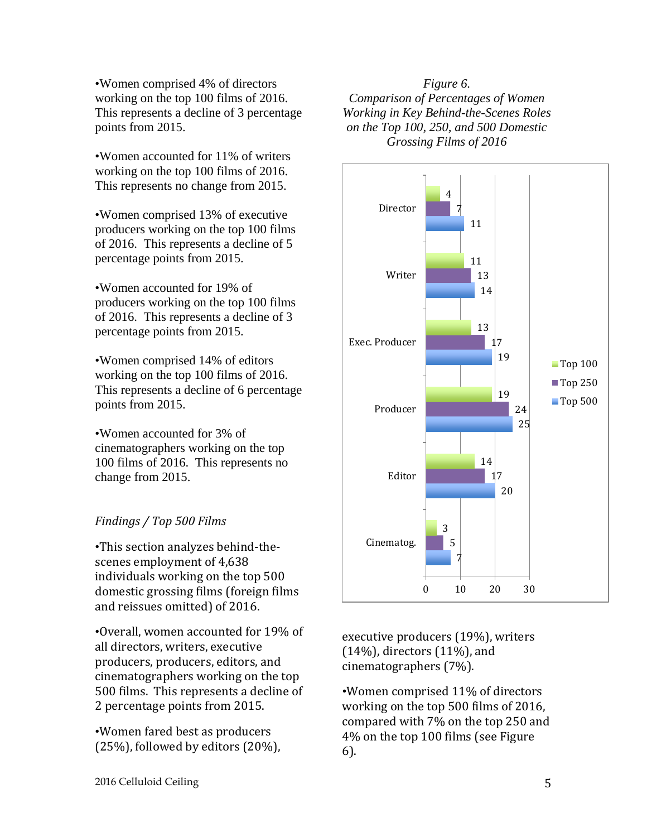•Women comprised 4% of directors working on the top 100 films of 2016. This represents a decline of 3 percentage points from 2015.

•Women accounted for 11% of writers working on the top 100 films of 2016. This represents no change from 2015.

•Women comprised 13% of executive producers working on the top 100 films of 2016. This represents a decline of 5 percentage points from 2015.

•Women accounted for 19% of producers working on the top 100 films of 2016. This represents a decline of 3 percentage points from 2015.

•Women comprised 14% of editors working on the top 100 films of 2016. This represents a decline of 6 percentage points from 2015.

•Women accounted for 3% of cinematographers working on the top 100 films of 2016. This represents no change from 2015.

# *Findings / Top 500 Films*

•This section analyzes behind-thescenes employment of 4,638 individuals working on the top 500 domestic grossing films (foreign films and reissues omitted) of 2016.

•Overall, women accounted for 19% of all directors, writers, executive producers, producers, editors, and cinematographers working on the top 500 films. This represents a decline of 2 percentage points from 2015.

•Women fared best as producers (25%), followed by editors (20%),

*Figure 6. Comparison of Percentages of Women Working in Key Behind-the-Scenes Roles on the Top 100, 250, and 500 Domestic Grossing Films of 2016*



executive producers (19%), writers (14%), directors (11%), and cinematographers (7%).

•Women comprised 11% of directors working on the top 500 films of 2016, compared with 7% on the top 250 and 4% on the top 100 films (see Figure 6).